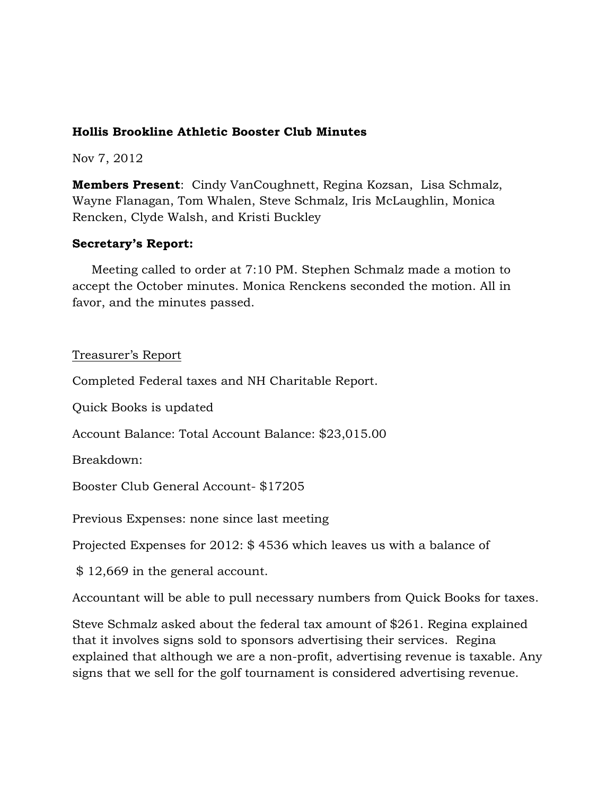# **Hollis Brookline Athletic Booster Club Minutes**

Nov 7, 2012

**Members Present**: Cindy VanCoughnett, Regina Kozsan, Lisa Schmalz, Wayne Flanagan, Tom Whalen, Steve Schmalz, Iris McLaughlin, Monica Rencken, Clyde Walsh, and Kristi Buckley

## **Secretary's Report:**

 Meeting called to order at 7:10 PM. Stephen Schmalz made a motion to accept the October minutes. Monica Renckens seconded the motion. All in favor, and the minutes passed.

## Treasurer's Report

Completed Federal taxes and NH Charitable Report.

Quick Books is updated

Account Balance: Total Account Balance: \$23,015.00

Breakdown:

Booster Club General Account- \$17205

Previous Expenses: none since last meeting

Projected Expenses for 2012: \$ 4536 which leaves us with a balance of

\$ 12,669 in the general account.

Accountant will be able to pull necessary numbers from Quick Books for taxes.

Steve Schmalz asked about the federal tax amount of \$261. Regina explained that it involves signs sold to sponsors advertising their services. Regina explained that although we are a non-profit, advertising revenue is taxable. Any signs that we sell for the golf tournament is considered advertising revenue.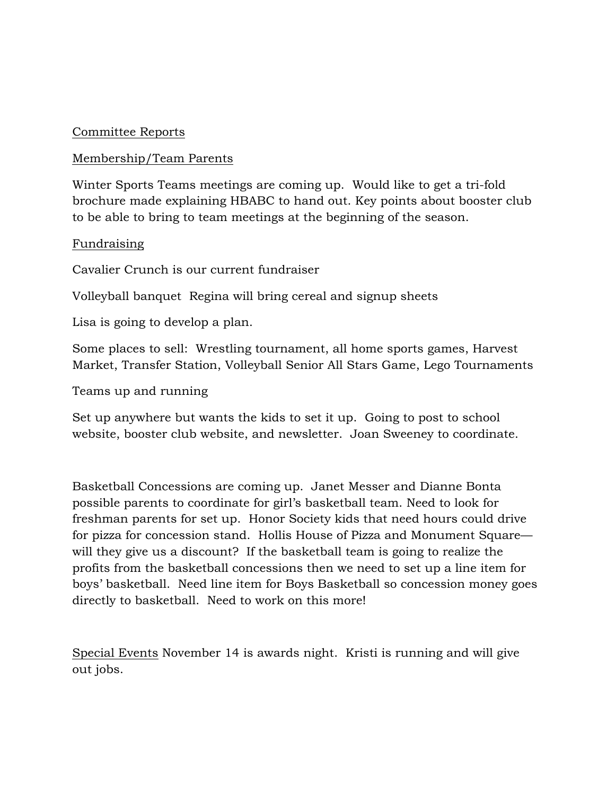## Committee Reports

#### Membership/Team Parents

Winter Sports Teams meetings are coming up. Would like to get a tri-fold brochure made explaining HBABC to hand out. Key points about booster club to be able to bring to team meetings at the beginning of the season.

#### Fundraising

Cavalier Crunch is our current fundraiser

Volleyball banquet Regina will bring cereal and signup sheets

Lisa is going to develop a plan.

Some places to sell: Wrestling tournament, all home sports games, Harvest Market, Transfer Station, Volleyball Senior All Stars Game, Lego Tournaments

Teams up and running

Set up anywhere but wants the kids to set it up. Going to post to school website, booster club website, and newsletter. Joan Sweeney to coordinate.

Basketball Concessions are coming up. Janet Messer and Dianne Bonta possible parents to coordinate for girl's basketball team. Need to look for freshman parents for set up. Honor Society kids that need hours could drive for pizza for concession stand. Hollis House of Pizza and Monument Square will they give us a discount? If the basketball team is going to realize the profits from the basketball concessions then we need to set up a line item for boys' basketball. Need line item for Boys Basketball so concession money goes directly to basketball. Need to work on this more!

Special Events November 14 is awards night. Kristi is running and will give out jobs.